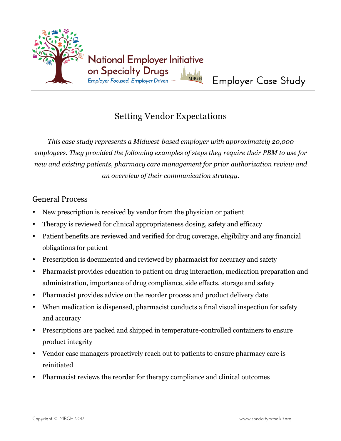

# Setting Vendor Expectations

*This case study represents a Midwest-based employer with approximately 20,000 employees. They provided the following examples of steps they require their PBM to use for new and existing patients, pharmacy care management for prior authorization review and an overview of their communication strategy.*

#### General Process

- New prescription is received by vendor from the physician or patient
- Therapy is reviewed for clinical appropriateness dosing, safety and efficacy
- Patient benefits are reviewed and verified for drug coverage, eligibility and any financial obligations for patient
- Prescription is documented and reviewed by pharmacist for accuracy and safety
- Pharmacist provides education to patient on drug interaction, medication preparation and administration, importance of drug compliance, side effects, storage and safety
- Pharmacist provides advice on the reorder process and product delivery date
- When medication is dispensed, pharmacist conducts a final visual inspection for safety and accuracy
- Prescriptions are packed and shipped in temperature-controlled containers to ensure product integrity
- Vendor case managers proactively reach out to patients to ensure pharmacy care is reinitiated
- Pharmacist reviews the reorder for therapy compliance and clinical outcomes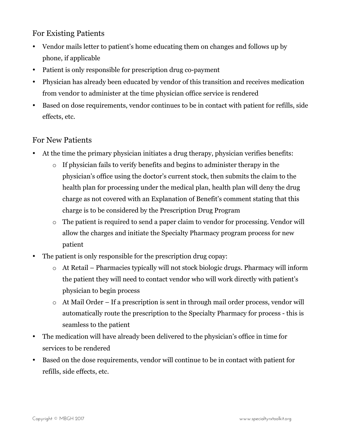#### For Existing Patients

- Vendor mails letter to patient's home educating them on changes and follows up by phone, if applicable
- Patient is only responsible for prescription drug co-payment
- Physician has already been educated by vendor of this transition and receives medication from vend0r to administer at the time physician office service is rendered
- Based on dose requirements, vendor continues to be in contact with patient for refills, side effects, etc.

## For New Patients

- At the time the primary physician initiates a drug therapy, physician verifies benefits:
	- o If physician fails to verify benefits and begins to administer therapy in the physician's office using the doctor's current stock, then submits the claim to the health plan for processing under the medical plan, health plan will deny the drug charge as not covered with an Explanation of Benefit's comment stating that this charge is to be considered by the Prescription Drug Program
	- o The patient is required to send a paper claim to vendor for processing. Vendor will allow the charges and initiate the Specialty Pharmacy program process for new patient
- The patient is only responsible for the prescription drug copay:
	- o At Retail Pharmacies typically will not stock biologic drugs. Pharmacy will inform the patient they will need to contact vendor who will work directly with patient's physician to begin process
	- o At Mail Order If a prescription is sent in through mail order process, vendor will automatically route the prescription to the Specialty Pharmacy for process - this is seamless to the patient
- The medication will have already been delivered to the physician's office in time for services to be rendered
- Based on the dose requirements, vendor will continue to be in contact with patient for refills, side effects, etc.